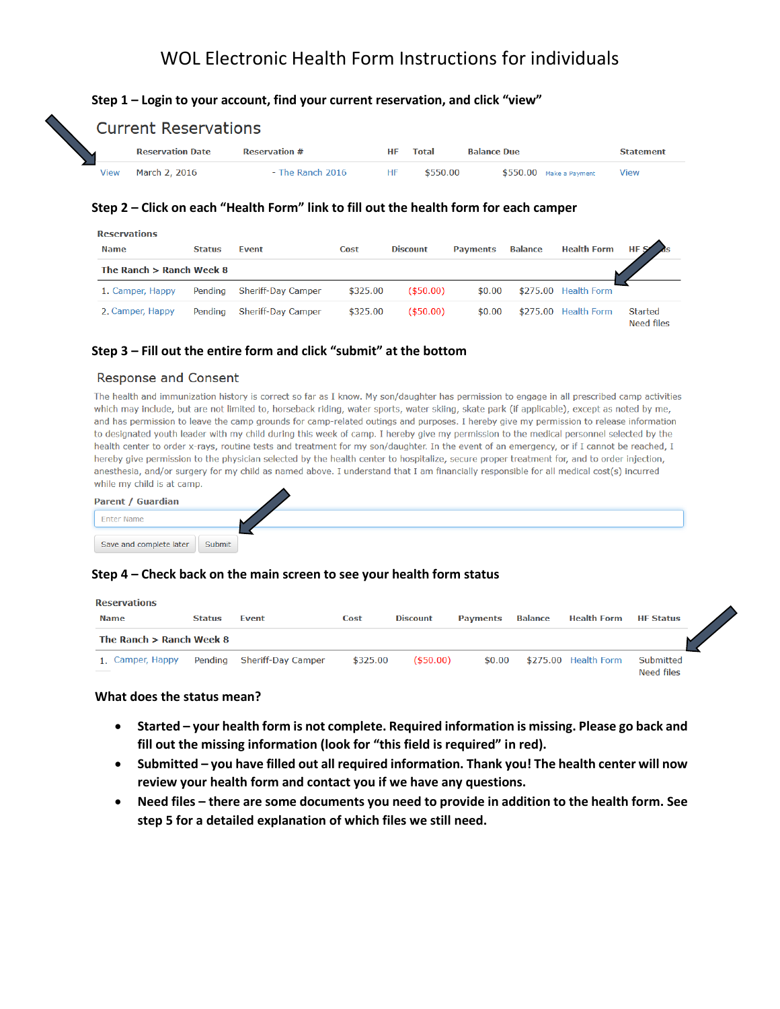# WOL Electronic Health Form Instructions for individuals

#### **Step 1 – Login to your account, find your current reservation, and click "view"**

|                         | <b>Current Reservations</b> |                      |    |          |                          |                  |  |  |  |
|-------------------------|-----------------------------|----------------------|----|----------|--------------------------|------------------|--|--|--|
| <b>Reservation Date</b> |                             | <b>Reservation #</b> |    | Total    | <b>Balance Due</b>       | <b>Statement</b> |  |  |  |
| View                    | March 2, 2016               | - The Ranch 2016     | HF | \$550.00 | $$550.00$ Make a Payment | View             |  |  |  |

### **Step 2 – Click on each "Health Form" link to fill out the health form for each camper**

| <b>Reservations</b>        |               |                           |          |                 |                 |                |                      |                                     |  |
|----------------------------|---------------|---------------------------|----------|-----------------|-----------------|----------------|----------------------|-------------------------------------|--|
| <b>Name</b>                | <b>Status</b> | Event                     | Cost     | <b>Discount</b> | <b>Payments</b> | <b>Balance</b> | <b>Health Form</b>   | $HFS^{\prime}$ as                   |  |
| The Ranch $>$ Ranch Week 8 |               |                           |          |                 |                 |                |                      |                                     |  |
| 1. Camper, Happy           | Pending       | <b>Sheriff-Day Camper</b> | \$325.00 | $($ \$50.00)    | \$0.00          |                | \$275.00 Health Form |                                     |  |
| 2. Camper, Happy           | Pending       | Sheriff-Day Camper        | \$325.00 | $($ \$50.00)    | \$0.00          |                | \$275.00 Health Form | <b>Started</b><br><b>Need files</b> |  |

#### **Step 3 – Fill out the entire form and click "submit" at the bottom**

#### **Response and Consent**

The health and immunization history is correct so far as I know. My son/daughter has permission to engage in all prescribed camp activities which may include, but are not limited to, horseback riding, water sports, water skiing, skate park (if applicable), except as noted by me, and has permission to leave the camp grounds for camp-related outings and purposes. I hereby give my permission to release information to designated youth leader with my child during this week of camp. I hereby give my permission to the medical personnel selected by the health center to order x-rays, routine tests and treatment for my son/daughter. In the event of an emergency, or if I cannot be reached, I hereby give permission to the physician selected by the health center to hospitalize, secure proper treatment for, and to order injection, anesthesia, and/or surgery for my child as named above. I understand that I am financially responsible for all medical cost(s) incurred while my child is at camp.



### **Step 4 – Check back on the main screen to see your health form status**

| <b>Reservations</b>        |               |                    |          |                 |                 |                |                      |                         |  |  |
|----------------------------|---------------|--------------------|----------|-----------------|-----------------|----------------|----------------------|-------------------------|--|--|
| <b>Name</b>                | <b>Status</b> | <b>Event</b>       | Cost     | <b>Discount</b> | <b>Payments</b> | <b>Balance</b> | <b>Health Form</b>   | <b>HF Status</b>        |  |  |
| The Ranch $>$ Ranch Week 8 |               |                    |          |                 |                 |                |                      |                         |  |  |
| 1. Camper, Happy           | Pending       | Sheriff-Day Camper | \$325.00 | $($ \$50.00)    | \$0.00          |                | \$275.00 Health Form | Submitted<br>Need files |  |  |

#### **What does the status mean?**

- **Started – your health form is not complete. Required information is missing. Please go back and fill out the missing information (look for "this field is required" in red).**
- **Submitted – you have filled out all required information. Thank you! The health center will now review your health form and contact you if we have any questions.**
- **Need files – there are some documents you need to provide in addition to the health form. See step 5 for a detailed explanation of which files we still need.**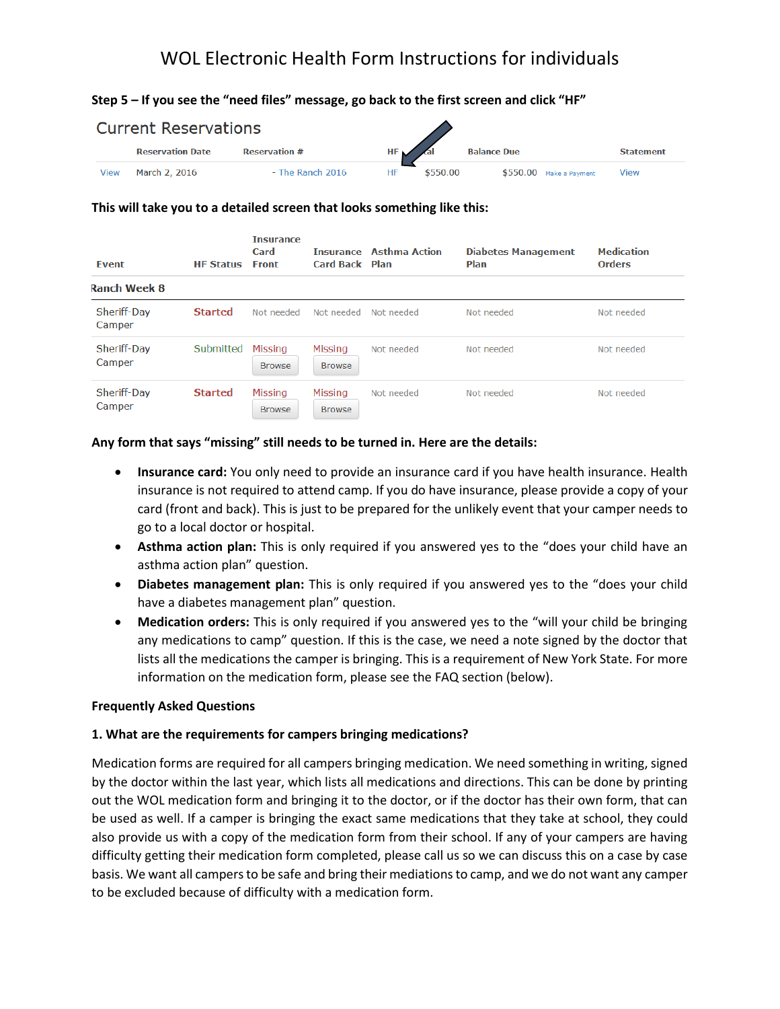# WOL Electronic Health Form Instructions for individuals

# **Step 5 – If you see the "need files" message, go back to the first screen and click "HF"**

| <b>Current Reservations</b> |                         |                      |                            |          |                          |                  |  |  |
|-----------------------------|-------------------------|----------------------|----------------------------|----------|--------------------------|------------------|--|--|
|                             | <b>Reservation Date</b> | <b>Reservation #</b> | $HF \setminus \mathcal{A}$ |          | <b>Balance Due</b>       | <b>Statement</b> |  |  |
| <b>View</b>                 | March 2, 2016           | - The Ranch 2016     | HF                         | \$550.00 | $$550.00$ Make a Payment | View             |  |  |

#### **This will take you to a detailed screen that looks something like this:**

| Event                 | <b>HF Status</b> | <b>Insurance</b><br>Card<br><b>Front</b> | Card Back Plan           | <b>Insurance Asthma Action</b> | <b>Diabetes Management</b><br>Plan | <b>Medication</b><br><b>Orders</b> |
|-----------------------|------------------|------------------------------------------|--------------------------|--------------------------------|------------------------------------|------------------------------------|
| <b>Ranch Week 8</b>   |                  |                                          |                          |                                |                                    |                                    |
| Sheriff-Day<br>Camper | <b>Started</b>   | Not needed                               | Not needed               | Not needed                     | Not needed                         | Not needed                         |
| Sheriff-Day<br>Camper | Submitted        | Missing<br><b>Browse</b>                 | Missina<br><b>Browse</b> | Not needed                     | Not needed                         | Not needed                         |
| Sheriff-Day<br>Camper | <b>Started</b>   | <b>Missing</b><br><b>Browse</b>          | Missing<br><b>Browse</b> | Not needed                     | Not needed                         | Not needed                         |

### **Any form that says "missing" still needs to be turned in. Here are the details:**

- **Insurance card:** You only need to provide an insurance card if you have health insurance. Health insurance is not required to attend camp. If you do have insurance, please provide a copy of your card (front and back). This is just to be prepared for the unlikely event that your camper needs to go to a local doctor or hospital.
- **Asthma action plan:** This is only required if you answered yes to the "does your child have an asthma action plan" question.
- **Diabetes management plan:** This is only required if you answered yes to the "does your child have a diabetes management plan" question.
- **Medication orders:** This is only required if you answered yes to the "will your child be bringing any medications to camp" question. If this is the case, we need a note signed by the doctor that lists all the medications the camper is bringing. This is a requirement of New York State. For more information on the medication form, please see the FAQ section (below).

### **Frequently Asked Questions**

### **1. What are the requirements for campers bringing medications?**

Medication forms are required for all campers bringing medication. We need something in writing, signed by the doctor within the last year, which lists all medications and directions. This can be done by printing out the WOL medication form and bringing it to the doctor, or if the doctor has their own form, that can be used as well. If a camper is bringing the exact same medications that they take at school, they could also provide us with a copy of the medication form from their school. If any of your campers are having difficulty getting their medication form completed, please call us so we can discuss this on a case by case basis. We want all campers to be safe and bring their mediations to camp, and we do not want any camper to be excluded because of difficulty with a medication form.